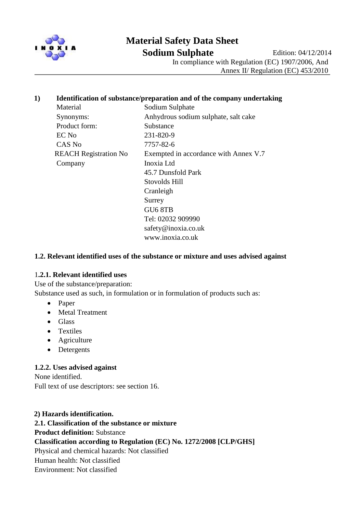

# **Material Safety Data Sheet**

**Sodium Sulphate** Edition: 04/12/2014

In compliance with Regulation (EC) 1907/2006, And

Annex II/ Regulation (EC) 453/2010

### **1) Identification of substance/preparation and of the company undertaking**

Material Sodium Sulphate Product form: Substance EC No 231-820-9 CAS No 7757-82-6 Company Inoxia Ltd

 Synonyms: Anhydrous sodium sulphate, salt cake REACH Registration No Exempted in accordance with Annex V.7 45.7 Dunsfold Park Stovolds Hill Cranleigh Surrey GU6 8TB Tel: 02032 909990 safety@inoxia.co.uk www.inoxia.co.uk

## **1.2. Relevant identified uses of the substance or mixture and uses advised against**

#### 1**.2.1. Relevant identified uses**

Use of the substance/preparation:

Substance used as such, in formulation or in formulation of products such as:

- Paper
- Metal Treatment
- Glass
- Textiles
- Agriculture
- Detergents

## **1.2.2. Uses advised against**

None identified. Full text of use descriptors: see section 16.

#### **2) Hazards identification.**

**2.1. Classification of the substance or mixture Product definition:** Substance **Classification according to Regulation (EC) No. 1272/2008 [CLP/GHS]** Physical and chemical hazards: Not classified Human health: Not classified Environment: Not classified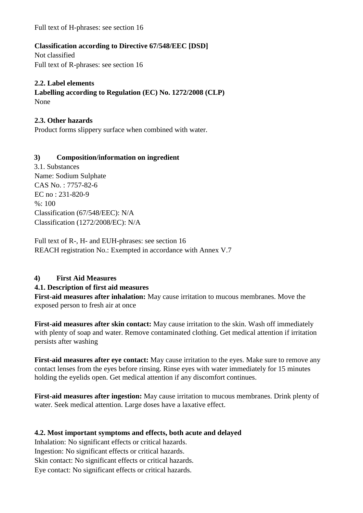Full text of H-phrases: see section 16

## **Classification according to Directive 67/548/EEC [DSD]**

Not classified Full text of R-phrases: see section 16

## **2.2. Label elements**

**Labelling according to Regulation (EC) No. 1272/2008 (CLP)** None

## **2.3. Other hazards**

Product forms slippery surface when combined with water.

## **3) Composition/information on ingredient**

3.1. Substances Name: Sodium Sulphate CAS No. : 7757-82-6 EC no : 231-820-9  $%: 100$ Classification (67/548/EEC): N/A Classification (1272/2008/EC): N/A

Full text of R-, H- and EUH-phrases: see section 16 REACH registration No.: Exempted in accordance with Annex V.7

## **4) First Aid Measures**

## **4.1. Description of first aid measures**

**First-aid measures after inhalation:** May cause irritation to mucous membranes. Move the exposed person to fresh air at once

**First-aid measures after skin contact:** May cause irritation to the skin. Wash off immediately with plenty of soap and water. Remove contaminated clothing. Get medical attention if irritation persists after washing

**First-aid measures after eye contact:** May cause irritation to the eyes. Make sure to remove any contact lenses from the eyes before rinsing. Rinse eyes with water immediately for 15 minutes holding the eyelids open. Get medical attention if any discomfort continues.

**First-aid measures after ingestion:** May cause irritation to mucous membranes. Drink plenty of water. Seek medical attention. Large doses have a laxative effect.

## **4.2. Most important symptoms and effects, both acute and delayed**

Inhalation: No significant effects or critical hazards. Ingestion: No significant effects or critical hazards.

Skin contact: No significant effects or critical hazards.

Eye contact: No significant effects or critical hazards.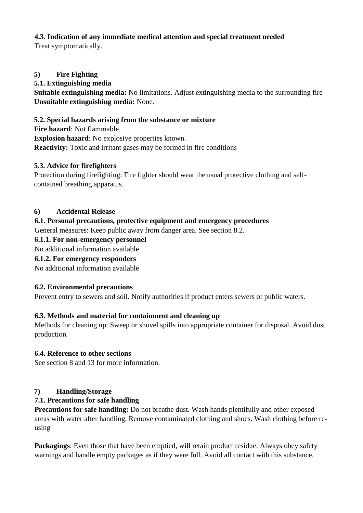## **4.3. Indication of any immediate medical attention and special treatment needed**

Treat symptomatically.

## **5) Fire Fighting**

## **5.1. Extinguishing media**

**Suitable extinguishing media:** No limitations. Adjust extinguishing media to the surrounding fire **Unsuitable extinguishing media:** None.

## **5.2. Special hazards arising from the substance or mixture**

**Fire hazard**: Not flammable. **Explosion hazard**: No explosive properties known. **Reactivity:** Toxic and irritant gases may be formed in fire conditions

## **5.3. Advice for firefighters**

Protection during firefighting: Fire fighter should wear the usual protective clothing and selfcontained breathing apparatus.

## **6) Accidental Release**

## **6.1. Personal precautions, protective equipment and emergency procedures**

General measures: Keep public away from danger area. See section 8.2.

## **6.1.1. For non-emergency personnel**

No additional information available

## **6.1.2. For emergency responders**

No additional information available

## **6.2. Environmental precautions**

Prevent entry to sewers and soil. Notify authorities if product enters sewers or public waters.

## **6.3. Methods and material for containment and cleaning up**

Methods for cleaning up: Sweep or shovel spills into appropriate container for disposal. Avoid dust production.

## **6.4. Reference to other sections**

See section 8 and 13 for more information.

## **7) Handling/Storage**

## **7.1. Precautions for safe handling**

**Precautions for safe handling:** Do not breathe dust. Wash hands plentifully and other exposed areas with water after handling. Remove contaminated clothing and shoes. Wash clothing before reusing

**Packagings**: Even those that have been emptied, will retain product residue. Always obey safety warnings and handle empty packages as if they were full. Avoid all contact with this substance.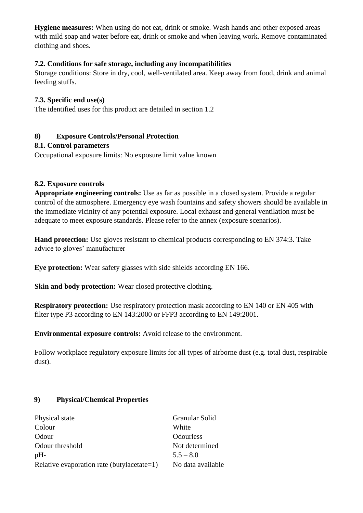**Hygiene measures:** When using do not eat, drink or smoke. Wash hands and other exposed areas with mild soap and water before eat, drink or smoke and when leaving work. Remove contaminated clothing and shoes.

## **7.2. Conditions for safe storage, including any incompatibilities**

Storage conditions: Store in dry, cool, well-ventilated area. Keep away from food, drink and animal feeding stuffs.

#### **7.3. Specific end use(s)**

The identified uses for this product are detailed in section 1.2

## **8) Exposure Controls/Personal Protection**

#### **8.1. Control parameters**

Occupational exposure limits: No exposure limit value known

#### **8.2. Exposure controls**

**Appropriate engineering controls:** Use as far as possible in a closed system. Provide a regular control of the atmosphere. Emergency eye wash fountains and safety showers should be available in the immediate vicinity of any potential exposure. Local exhaust and general ventilation must be adequate to meet exposure standards. Please refer to the annex (exposure scenarios).

**Hand protection:** Use gloves resistant to chemical products corresponding to EN 374:3. Take advice to gloves' manufacturer

**Eye protection:** Wear safety glasses with side shields according EN 166.

**Skin and body protection:** Wear closed protective clothing.

**Respiratory protection:** Use respiratory protection mask according to EN 140 or EN 405 with filter type P3 according to EN 143:2000 or FFP3 according to EN 149:2001.

**Environmental exposure controls:** Avoid release to the environment.

Follow workplace regulatory exposure limits for all types of airborne dust (e.g. total dust, respirable dust).

## **9) Physical/Chemical Properties**

| Physical state                             | Granular Solid    |
|--------------------------------------------|-------------------|
| Colour                                     | White             |
| Odour                                      | <b>Odourless</b>  |
| Odour threshold                            | Not determined    |
| $pH-$                                      | $5.5 - 8.0$       |
| Relative evaporation rate (butylacetate=1) | No data available |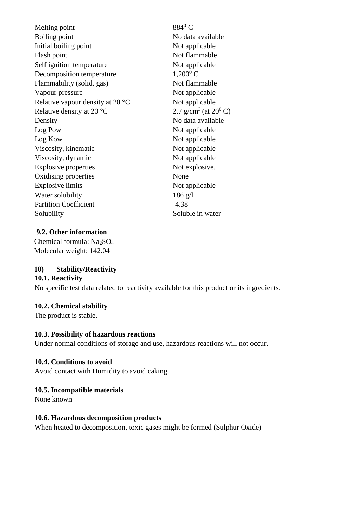| Melting point                              | $884^0$ C                           |
|--------------------------------------------|-------------------------------------|
| <b>Boiling point</b>                       | No data available                   |
| Initial boiling point                      | Not applicable                      |
| Flash point                                | Not flammable                       |
| Self ignition temperature                  | Not applicable                      |
| Decomposition temperature                  | $1,200^0 C$                         |
| Flammability (solid, gas)                  | Not flammable                       |
| Vapour pressure                            | Not applicable                      |
| Relative vapour density at 20 $^{\circ}$ C | Not applicable                      |
| Relative density at 20 $^{\circ}$ C        | 2.7 g/cm <sup>3</sup> (at $20^0$ C) |
| Density                                    | No data available                   |
| Log Pow                                    | Not applicable                      |
| Log Kow                                    | Not applicable                      |
| Viscosity, kinematic                       | Not applicable                      |
| Viscosity, dynamic                         | Not applicable                      |
| <b>Explosive properties</b>                | Not explosive.                      |
| Oxidising properties                       | None                                |
| <b>Explosive limits</b>                    | Not applicable                      |
| Water solubility                           | $186$ g/l                           |
| <b>Partition Coefficient</b>               | $-4.38$                             |
| Solubility                                 | Soluble in water                    |
|                                            |                                     |

## **9.2. Other information**

Chemical formula: Na2SO<sup>4</sup> Molecular weight: 142.04

## **10) Stability/Reactivity**

#### **10.1. Reactivity**

No specific test data related to reactivity available for this product or its ingredients.

#### **10.2. Chemical stability**

The product is stable.

#### **10.3. Possibility of hazardous reactions**

Under normal conditions of storage and use, hazardous reactions will not occur.

#### **10.4. Conditions to avoid**

Avoid contact with Humidity to avoid caking.

#### **10.5. Incompatible materials**

None known

#### **10.6. Hazardous decomposition products**

When heated to decomposition, toxic gases might be formed (Sulphur Oxide)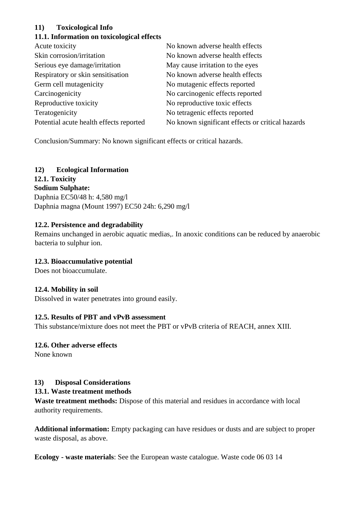## **11) Toxicological Info**

## **11.1. Information on toxicological effects**

| Acute toxicity                          | No known adverse health effects                  |
|-----------------------------------------|--------------------------------------------------|
| Skin corrosion/irritation               | No known adverse health effects                  |
| Serious eye damage/irritation           | May cause irritation to the eyes                 |
| Respiratory or skin sensitisation       | No known adverse health effects                  |
| Germ cell mutagenicity                  | No mutagenic effects reported                    |
| Carcinogenicity                         | No carcinogenic effects reported                 |
| Reproductive toxicity                   | No reproductive toxic effects                    |
| Teratogenicity                          | No tetragenic effects reported                   |
| Potential acute health effects reported | No known significant effects or critical hazards |
|                                         |                                                  |

Conclusion/Summary: No known significant effects or critical hazards.

# **12) Ecological Information**

**12.1. Toxicity Sodium Sulphate:** Daphnia EC50/48 h: 4,580 mg/l Daphnia magna (Mount 1997) EC50 24h: 6,290 mg/l

## **12.2. Persistence and degradability**

Remains unchanged in aerobic aquatic medias,. In anoxic conditions can be reduced by anaerobic bacteria to sulphur ion.

# **12.3. Bioaccumulative potential**

Does not bioaccumulate.

## **12.4. Mobility in soil**

Dissolved in water penetrates into ground easily.

## **12.5. Results of PBT and vPvB assessment**

This substance/mixture does not meet the PBT or vPvB criteria of REACH, annex XIII.

# **12.6. Other adverse effects**

None known

# **13) Disposal Considerations**

## **13.1. Waste treatment methods**

**Waste treatment methods:** Dispose of this material and residues in accordance with local authority requirements.

**Additional information:** Empty packaging can have residues or dusts and are subject to proper waste disposal, as above.

**Ecology - waste materials**: See the European waste catalogue. Waste code 06 03 14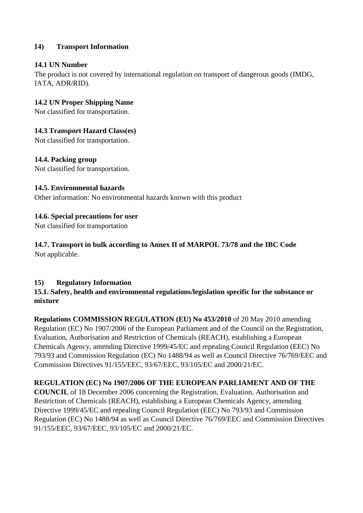## **14) Transport Information**

## **14.1 UN Number**

The product is not covered by international regulation on transport of dangerous goods (IMDG, IATA, ADR/RID).

## **14.2 UN Proper Shipping Name**

Not classified for transportation.

## **14.3 Transport Hazard Class(es)**

Not classified for transportation.

## **14.4. Packing group**

Not classified for transportation.

## **14.5. Environmental hazards**

Other information: No environmental hazards known with this product

## **14.6. Special precautions for user**

Not classified for transportation

#### **14.7. Transport in bulk according to Annex II of MARPOL 73/78 and the IBC Code** Not applicable.

## **15) Regulatory Information**

## **15.1. Safety, health and environmental regulations/legislation specific for the substance or mixture**

**Regulations COMMISSION REGULATION (EU) No 453/2010** of 20 May 2010 amending Regulation (EC) No 1907/2006 of the European Parliament and of the Council on the Registration, Evaluation, Authorisation and Restriction of Chemicals (REACH), establishing a European Chemicals Agency, amending Directive 1999/45/EC and repealing Council Regulation (EEC) No 793/93 and Commission Regulation (EC) No 1488/94 as well as Council Directive 76/769/EEC and Commission Directives 91/155/EEC, 93/67/EEC, 93/105/EC and 2000/21/EC.

## **REGULATION (EC) No 1907/2006 OF THE EUROPEAN PARLIAMENT AND OF THE**

**COUNCIL** of 18 December 2006 concerning the Registration, Evaluation, Authorisation and Restriction of Chemicals (REACH), establishing a European Chemicals Agency, amending Directive 1999/45/EC and repealing Council Regulation (EEC) No 793/93 and Commission Regulation (EC) No 1488/94 as well as Council Directive 76/769/EEC and Commission Directives 91/155/EEC, 93/67/EEC, 93/105/EC and 2000/21/EC.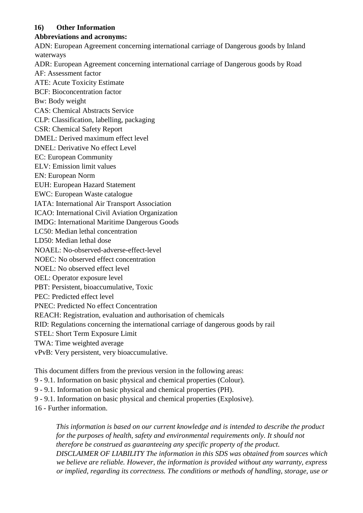## **16) Other Information**

## **Abbreviations and acronyms:**

ADN: European Agreement concerning international carriage of Dangerous goods by Inland waterways

ADR: European Agreement concerning international carriage of Dangerous goods by Road

AF: Assessment factor

ATE: Acute Toxicity Estimate

BCF: Bioconcentration factor

Bw: Body weight

CAS: Chemical Abstracts Service

CLP: Classification, labelling, packaging

CSR: Chemical Safety Report

DMEL: Derived maximum effect level

DNEL: Derivative No effect Level

EC: European Community

ELV: Emission limit values

EN: European Norm

EUH: European Hazard Statement

EWC: European Waste catalogue

IATA: International Air Transport Association

ICAO: International Civil Aviation Organization

IMDG: International Maritime Dangerous Goods

LC50: Median lethal concentration

LD50: Median lethal dose

NOAEL: No-observed-adverse-effect-level

NOEC: No observed effect concentration

NOEL: No observed effect level

OEL: Operator exposure level

PBT: Persistent, bioaccumulative, Toxic

PEC: Predicted effect level

PNEC: Predicted No effect Concentration

REACH: Registration, evaluation and authorisation of chemicals

RID: Regulations concerning the international carriage of dangerous goods by rail

STEL: Short Term Exposure Limit

TWA: Time weighted average

vPvB: Very persistent, very bioaccumulative.

This document differs from the previous version in the following areas:

9 - 9.1. Information on basic physical and chemical properties (Colour).

9 - 9.1. Information on basic physical and chemical properties (PH).

9 - 9.1. Information on basic physical and chemical properties (Explosive).

16 - Further information.

*This information is based on our current knowledge and is intended to describe the product for the purposes of health, safety and environmental requirements only. It should not therefore be construed as guaranteeing any specific property of the product. DISCLAIMER OF LIABILITY The information in this SDS was obtained from sources which we believe are reliable. However, the information is provided without any warranty, express or implied, regarding its correctness. The conditions or methods of handling, storage, use or*